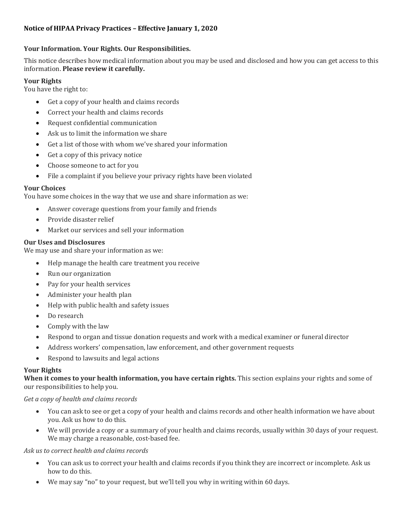# **Notice of HIPAA Privacy Practices – Effective January 1, 2020**

# **Your Information. Your Rights. Our Responsibilities.**

This notice describes how medical information about you may be used and disclosed and how you can get access to this information. **Please review it carefully.**

# **Your Rights**

You have the right to:

- Get a copy of your health and claims records
- Correct your health and claims records
- Request confidential communication
- Ask us to limit the information we share
- Get a list of those with whom we've shared your information
- Get a copy of this privacy notice
- Choose someone to act for you
- File a complaint if you believe your privacy rights have been violated

#### **Your Choices**

You have some choices in the way that we use and share information as we:

- Answer coverage questions from your family and friends
- Provide disaster relief
- Market our services and sell your information

#### **Our Uses and Disclosures**

We may use and share your information as we:

- Help manage the health care treatment you receive
- Run our organization
- Pay for your health services
- Administer your health plan
- Help with public health and safety issues
- Do research
- Comply with the law
- Respond to organ and tissue donation requests and work with a medical examiner or funeral director
- Address workers' compensation, law enforcement, and other government requests
- Respond to lawsuits and legal actions

#### **Your Rights**

**When it comes to your health information, you have certain rights.** This section explains your rights and some of our responsibilities to help you.

#### *Get a copy of health and claims records*

- You can ask to see or get a copy of your health and claims records and other health information we have about you. Ask us how to do this.
- We will provide a copy or a summary of your health and claims records, usually within 30 days of your request. We may charge a reasonable, cost-based fee.

### *Ask us to correct health and claims records*

- You can ask us to correct your health and claims records if you think they are incorrect or incomplete. Ask us how to do this.
- We may say "no" to your request, but we'll tell you why in writing within 60 days.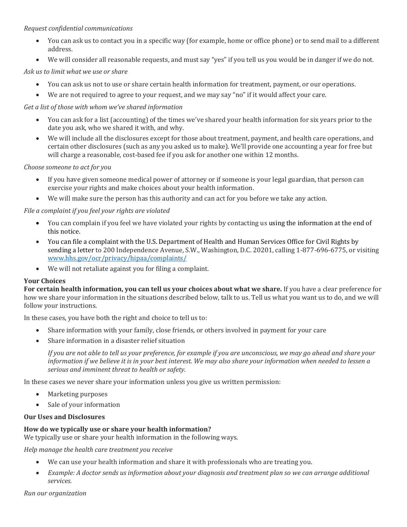### *Request confidential communications*

- You can ask us to contact you in a specific way (for example, home or office phone) or to send mail to a different address.
- We will consider all reasonable requests, and must say "yes" if you tell us you would be in danger if we do not.

### *Ask us to limit what we use or share*

- You can ask us not to use or share certain health information for treatment, payment, or our operations.
- We are not required to agree to your request, and we may say "no" if it would affect your care.

### *Get a list of those with whom we've shared information*

- You can ask for a list (accounting) of the times we've shared your health information for six years prior to the date you ask, who we shared it with, and why.
- We will include all the disclosures except for those about treatment, payment, and health care operations, and certain other disclosures (such as any you asked us to make). We'll provide one accounting a year for free but will charge a reasonable, cost-based fee if you ask for another one within 12 months.

#### *Choose someone to act for you*

- If you have given someone medical power of attorney or if someone is your legal guardian, that person can exercise your rights and make choices about your health information.
- We will make sure the person has this authority and can act for you before we take any action.

# *File a complaint if you feel your rights are violated*

- You can complain if you feel we have violated your rights by contacting us using the information at the end of this notice.
- You can file a complaint with the U.S. Department of Health and Human Services Office for Civil Rights by sending a letter to 200 Independence Avenue, S.W., Washington, D.C. 20201, calling 1-877-696-6775, or visiting [www.hhs.gov/ocr/privacy/hipaa/complaints/](http://www.hhs.gov/ocr/privacy/hipaa/complaints/)
- We will not retaliate against you for filing a complaint.

#### **Your Choices**

**For certain health information, you can tell us your choices about what we share.** If you have a clear preference for how we share your information in the situations described below, talk to us. Tell us what you want us to do, and we will follow your instructions.

In these cases, you have both the right and choice to tell us to:

- Share information with your family, close friends, or others involved in payment for your care
- Share information in a disaster relief situation

*If you are not able to tell us your preference, for example if you are unconscious, we may go ahead and share your information if we believe it is in your best interest. We may also share your information when needed to lessen a serious and imminent threat to health or safety*.

In these cases we never share your information unless you give us written permission:

- Marketing purposes
- Sale of your information

# **Our Uses and Disclosures**

#### **How do we typically use or share your health information?**

We typically use or share your health information in the following ways.

*Help manage the health care treatment you receive*

- We can use your health information and share it with professionals who are treating you.
- *Example: A doctor sends us information about your diagnosis and treatment plan so we can arrange additional services.*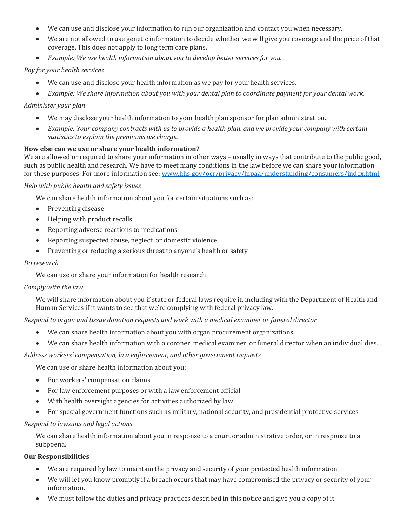- We can use and disclose your information to run our organization and contact you when necessary.
- We are not allowed to use genetic information to decide whether we will give you coverage and the price of that coverage. This does not apply to long term care plans.
- *Example: We use health information about you to develop better services for you.*

# *Pay for your health services*

- We can use and disclose your health information as we pay for your health services.
- *Example: We share information about you with your dental plan to coordinate payment for your dental work.*

# *Administer your plan*

- We may disclose your health information to your health plan sponsor for plan administration.
- *Example: Your company contracts with us to provide a health plan, and we provide your company with certain statistics to explain the premiums we charge.*

#### **How else can we use or share your health information?**

We are allowed or required to share your information in other ways – usually in ways that contribute to the public good, such as public health and research. We have to meet many conditions in the law before we can share your information for these purposes. For more information see[: www.hhs.gov/ocr/privacy/hipaa/understanding/consumers/index.html.](http://www.hhs.gov/ocr/privacy/hipaa/understanding/consumers/index.html)

*Help with public health and safety issues*

We can share health information about you for certain situations such as:

- Preventing disease
- Helping with product recalls
- Reporting adverse reactions to medications
- Reporting suspected abuse, neglect, or domestic violence
- Preventing or reducing a serious threat to anyone's health or safety

#### *Do research*

We can use or share your information for health research.

#### *Comply with the law*

We will share information about you if state or federal laws require it, including with the Department of Health and Human Services if it wants to see that we're complying with federal privacy law.

*Respond to organ and tissue donation requests and work with a medical examiner or funeral director*

- We can share health information about you with organ procurement organizations.
- We can share health information with a coroner, medical examiner, or funeral director when an individual dies.

*Address workers' compensation, law enforcement, and other government requests*

We can use or share health information about you:

- For workers' compensation claims
- For law enforcement purposes or with a law enforcement official
- With health oversight agencies for activities authorized by law
- For special government functions such as military, national security, and presidential protective services

#### *Respond to lawsuits and legal actions*

We can share health information about you in response to a court or administrative order, or in response to a subpoena.

#### **Our Responsibilities**

- We are required by law to maintain the privacy and security of your protected health information.
- We will let you know promptly if a breach occurs that may have compromised the privacy or security of your information.
- We must follow the duties and privacy practices described in this notice and give you a copy of it.